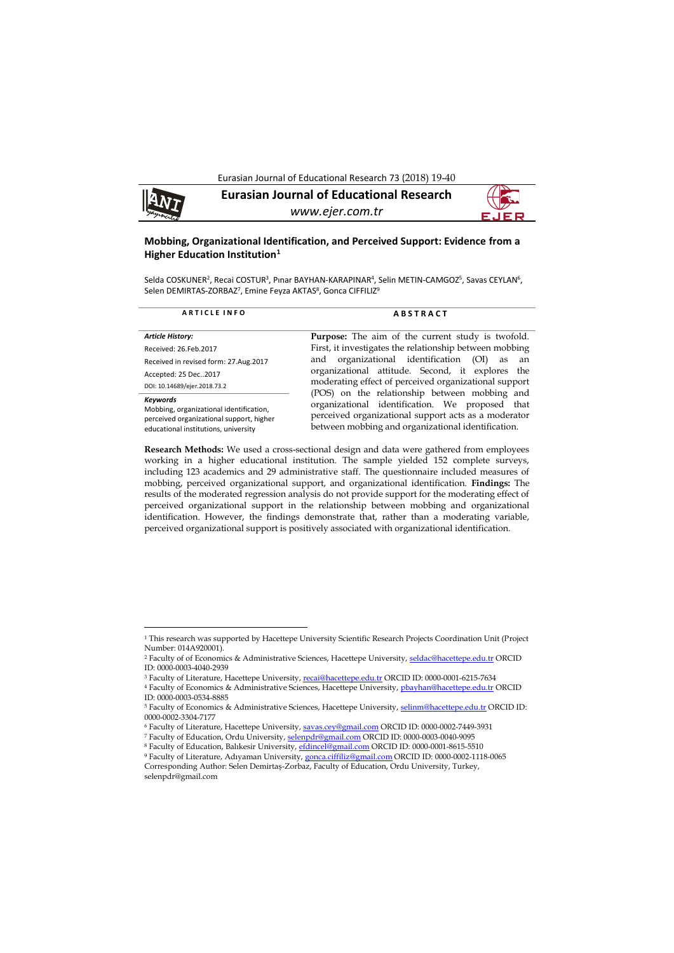Eurasian Journal of Educational Research 73 (2018) 19-40



**.** 

**Eurasian Journal of Educational Research** *www.ejer.com.tr*

## **Mobbing, Organizational Identification, and Perceived Support: Evidence from a Higher Education Institution<sup>1</sup>**

Selda COSKUNER<sup>2</sup>, Recai COSTUR<sup>3</sup>, Pınar BAYHAN-KARAPINAR<sup>4</sup>, Selin METIN-CAMGOZ<sup>5</sup>, Savas CEYLAN<sup>6</sup>, Selen DEMIRTAS-ZORBAZ<sup>7</sup>, Emine Feyza AKTAS<sup>8</sup>, Gonca CIFFILIZ<sup>9</sup>

| <b>ARTICLE INFO</b>                                                                                                                                 | <b>ABSTRACT</b>                                                                                                                                                                                                                                                                              |  |  |  |
|-----------------------------------------------------------------------------------------------------------------------------------------------------|----------------------------------------------------------------------------------------------------------------------------------------------------------------------------------------------------------------------------------------------------------------------------------------------|--|--|--|
| <b>Article History:</b><br>Received: 26. Feb. 2017<br>Received in revised form: 27.Aug.2017<br>Accepted: 25 Dec2017<br>DOI: 10.14689/ejer.2018.73.2 | <b>Purpose:</b> The aim of the current study is twofold.<br>First, it investigates the relationship between mobbing<br>organizational identification<br>(OI)<br>and<br>as<br>an<br>organizational attitude. Second, it explores the<br>moderating effect of perceived organizational support |  |  |  |
| <b>Keywords</b><br>Mobbing, organizational identification,<br>perceived organizational support, higher<br>educational institutions, university      | (POS) on the relationship between mobbing and<br>organizational identification. We proposed that<br>perceived organizational support acts as a moderator<br>between mobbing and organizational identification.                                                                               |  |  |  |

**Research Methods:** We used a cross-sectional design and data were gathered from employees working in a higher educational institution. The sample yielded 152 complete surveys, including 123 academics and 29 administrative staff. The questionnaire included measures of mobbing, perceived organizational support, and organizational identification. **Findings:** The results of the moderated regression analysis do not provide support for the moderating effect of perceived organizational support in the relationship between mobbing and organizational identification. However, the findings demonstrate that, rather than a moderating variable, perceived organizational support is positively associated with organizational identification.

<sup>1</sup> This research was supported by Hacettepe University Scientific Research Projects Coordination Unit (Project Number: 014A920001).

<sup>&</sup>lt;sup>2</sup> Faculty of of Economics & Administrative Sciences, Hacettepe University, [seldac@hacettepe.edu.tr](mailto:seldac@hacettepe.edu.tr) ORCID ID: 0000-0003-4040-2939

<sup>3</sup> Faculty of Literature, Hacettepe University, [recai@hacettepe.edu.tr](mailto:recai@hacettepe.edu.tr) ORCID ID: 0000-0001-6215-7634

<sup>4</sup> Faculty of Economics & Administrative Sciences, Hacettepe University, phayhan@hacettepe.edu.tr ORCID ID: 0000-0003-0534-8885

<sup>&</sup>lt;sup>5</sup> Faculty of Economics & Administrative Sciences, Hacettepe University[, selinm@hacettepe.edu.tr](mailto:selinm@hacettepe.edu.tr) ORCID ID: [0000-0002-3304-7177](https://orcid.org/0000-0002-3304-7177)

<sup>6</sup> Faculty of Literature, Hacettepe University, [savas.cey@gmail.com](mailto:savas.cey@gmail.com) ORCID ID: 0000-0002-7449-3931

<sup>7</sup> Faculty of Education, Ordu University[, selenpdr@gmail.com](mailto:selenpdr@gmail.com) ORCID ID: 0000-0003-0040-9095

<sup>8</sup> Faculty of Education, Balıkesir University, [efdincel@gmail.com](mailto:efdincel@gmail.com) ORCID ID: 0000-0001-8615-5510 <sup>9</sup> Faculty of Literature, Adıyaman University, [gonca.ciffiliz@gmail.com](mailto:gonca.ciffiliz@gmail.com) ORCID ID: 0000-0002-1118-0065 Corresponding Author: Selen Demirtaş-Zorbaz, Faculty of Education, Ordu University, Turkey, selenpdr@gmail.com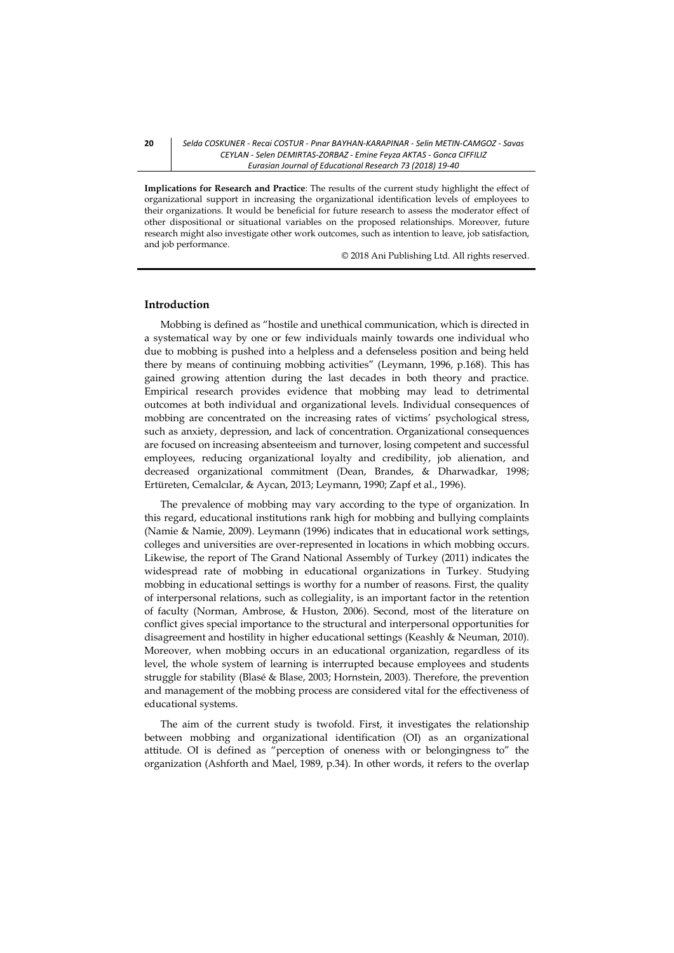#### **20** *Selda COSKUNER - Recai COSTUR - Pınar BAYHAN-KARAPINAR - Selin METIN-CAMGOZ - Savas CEYLAN - Selen DEMIRTAS-ZORBAZ - Emine Feyza AKTAS - Gonca CIFFILIZ Eurasian Journal of Educational Research 73 (2018) 19-40*

**Implications for Research and Practice**: The results of the current study highlight the effect of organizational support in increasing the organizational identification levels of employees to their organizations. It would be beneficial for future research to assess the moderator effect of other dispositional or situational variables on the proposed relationships. Moreover, future research might also investigate other work outcomes, such as intention to leave, job satisfaction, and job performance.

© 2018 Ani Publishing Ltd. All rights reserved.

#### **Introduction**

Mobbing is defined as "hostile and unethical communication, which is directed in a systematical way by one or few individuals mainly towards one individual who due to mobbing is pushed into a helpless and a defenseless position and being held there by means of continuing mobbing activities" (Leymann, 1996, p.168). This has gained growing attention during the last decades in both theory and practice. Empirical research provides evidence that mobbing may lead to detrimental outcomes at both individual and organizational levels. Individual consequences of mobbing are concentrated on the increasing rates of victims' psychological stress, such as anxiety, depression, and lack of concentration. Organizational consequences are focused on increasing absenteeism and turnover, losing competent and successful employees, reducing organizational loyalty and credibility, job alienation, and decreased organizational commitment (Dean, Brandes, & Dharwadkar, 1998; Ertüreten, Cemalcılar, & Aycan, 2013; Leymann, 1990; Zapf et al., 1996).

The prevalence of mobbing may vary according to the type of organization. In this regard, educational institutions rank high for mobbing and bullying complaints (Namie & Namie, 2009). Leymann (1996) indicates that in educational work settings, colleges and universities are over-represented in locations in which mobbing occurs. Likewise, the report of The Grand National Assembly of Turkey (2011) indicates the widespread rate of mobbing in educational organizations in Turkey. Studying mobbing in educational settings is worthy for a number of reasons. First, the quality of interpersonal relations, such as collegiality, is an important factor in the retention of faculty (Norman, Ambrose, & Huston, 2006). Second, most of the literature on conflict gives special importance to the structural and interpersonal opportunities for disagreement and hostility in higher educational settings (Keashly & Neuman, 2010). Moreover, when mobbing occurs in an educational organization, regardless of its level, the whole system of learning is interrupted because employees and students struggle for stability (Blasé & Blase, 2003; Hornstein, 2003). Therefore, the prevention and management of the mobbing process are considered vital for the effectiveness of educational systems.

The aim of the current study is twofold. First, it investigates the relationship between mobbing and organizational identification (OI) as an organizational attitude. OI is defined as "perception of oneness with or belongingness to" the organization (Ashforth and Mael, 1989, p.34). In other words, it refers to the overlap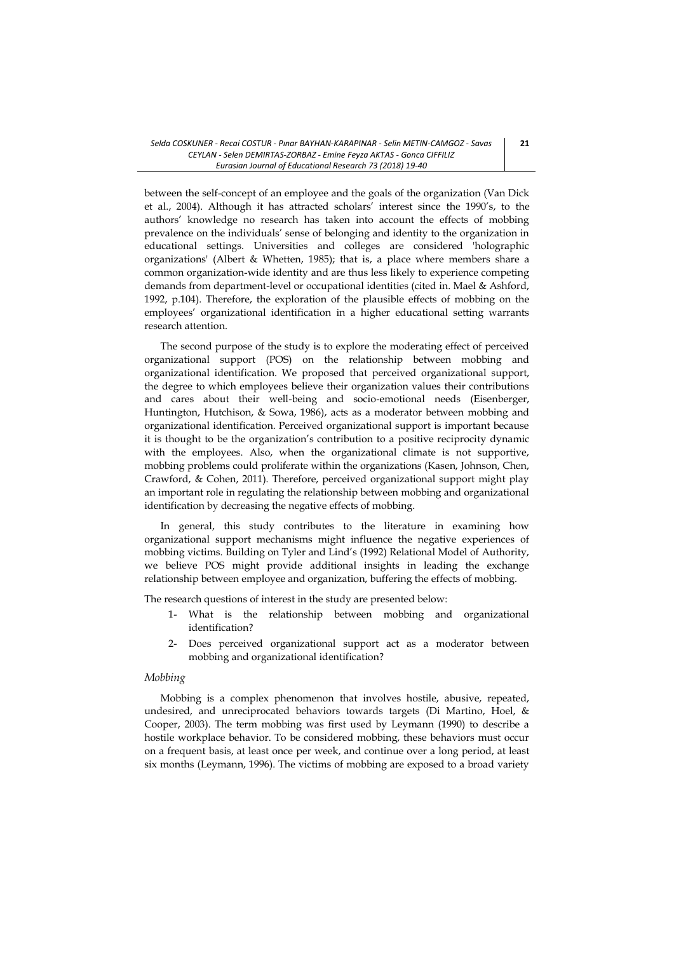between the self-concept of an employee and the goals of the organization (Van Dick et al., 2004). Although it has attracted scholars' interest since the 1990's, to the authors' knowledge no research has taken into account the effects of mobbing prevalence on the individuals' sense of belonging and identity to the organization in educational settings. Universities and colleges are considered 'holographic organizations' (Albert & Whetten, 1985); that is, a place where members share a common organization-wide identity and are thus less likely to experience competing demands from department-level or occupational identities (cited in. Mael & Ashford, 1992, p.104). Therefore, the exploration of the plausible effects of mobbing on the employees' organizational identification in a higher educational setting warrants research attention.

The second purpose of the study is to explore the moderating effect of perceived organizational support (POS) on the relationship between mobbing and organizational identification. We proposed that perceived organizational support, the degree to which employees believe their organization values their contributions and cares about their well-being and socio-emotional needs (Eisenberger, Huntington, Hutchison, & Sowa, 1986), acts as a moderator between mobbing and organizational identification. Perceived organizational support is important because it is thought to be the organization's contribution to a positive reciprocity dynamic with the employees. Also, when the organizational climate is not supportive, mobbing problems could proliferate within the organizations (Kasen, Johnson, Chen, Crawford, & Cohen, 2011). Therefore, perceived organizational support might play an important role in regulating the relationship between mobbing and organizational identification by decreasing the negative effects of mobbing.

In general, this study contributes to the literature in examining how organizational support mechanisms might influence the negative experiences of mobbing victims. Building on Tyler and Lind's (1992) Relational Model of Authority, we believe POS might provide additional insights in leading the exchange relationship between employee and organization, buffering the effects of mobbing.

The research questions of interest in the study are presented below:

- 1- What is the relationship between mobbing and organizational identification?
- 2- Does perceived organizational support act as a moderator between mobbing and organizational identification?

#### *Mobbing*

Mobbing is a complex phenomenon that involves hostile, abusive, repeated, undesired, and unreciprocated behaviors towards targets (Di Martino, Hoel, & Cooper, 2003). The term mobbing was first used by Leymann (1990) to describe a hostile workplace behavior. To be considered mobbing, these behaviors must occur on a frequent basis, at least once per week, and continue over a long period, at least six months (Leymann, 1996). The victims of mobbing are exposed to a broad variety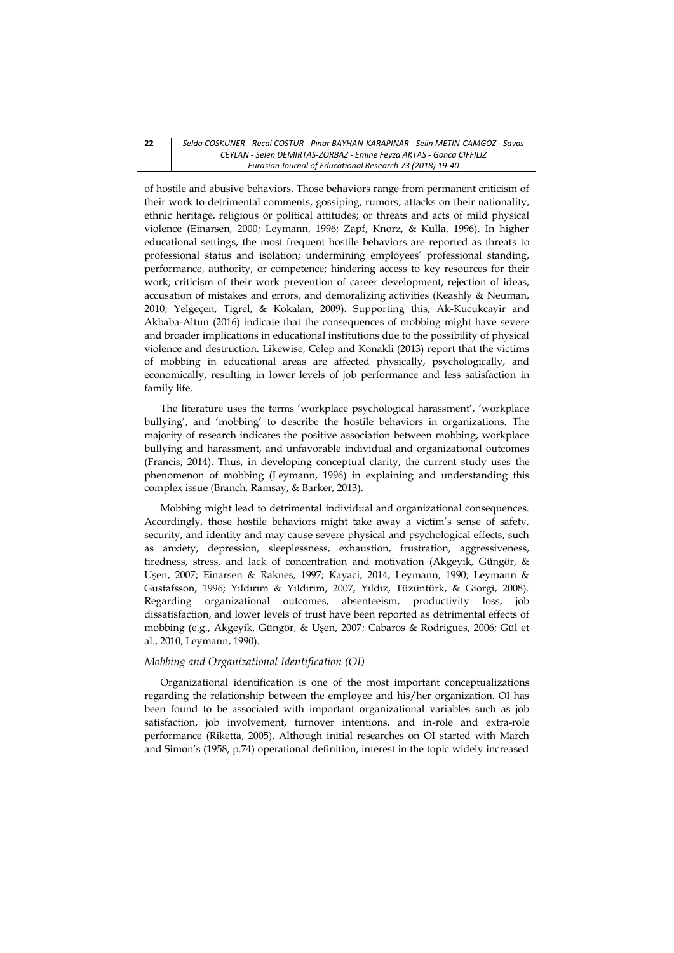of hostile and abusive behaviors. Those behaviors range from permanent criticism of their work to detrimental comments, gossiping, rumors; attacks on their nationality, ethnic heritage, religious or political attitudes; or threats and acts of mild physical violence (Einarsen, 2000; Leymann, 1996; Zapf, Knorz, & Kulla, 1996). In higher educational settings, the most frequent hostile behaviors are reported as threats to professional status and isolation; undermining employees' professional standing, performance, authority, or competence; hindering access to key resources for their work; criticism of their work prevention of career development, rejection of ideas, accusation of mistakes and errors, and demoralizing activities (Keashly & Neuman, 2010; Yelgeçen, Tigrel, & Kokalan, 2009). Supporting this, Ak-Kucukcayir and Akbaba-Altun (2016) indicate that the consequences of mobbing might have severe and broader implications in educational institutions due to the possibility of physical violence and destruction. Likewise, Celep and Konakli (2013) report that the victims of mobbing in educational areas are affected physically, psychologically, and economically, resulting in lower levels of job performance and less satisfaction in family life.

The literature uses the terms 'workplace psychological harassment', 'workplace bullying', and 'mobbing' to describe the hostile behaviors in organizations. The majority of research indicates the positive association between mobbing, workplace bullying and harassment, and unfavorable individual and organizational outcomes (Francis, 2014). Thus, in developing conceptual clarity, the current study uses the phenomenon of mobbing (Leymann, 1996) in explaining and understanding this complex issue (Branch, Ramsay, & Barker, 2013).

Mobbing might lead to detrimental individual and organizational consequences. Accordingly, those hostile behaviors might take away a victim's sense of safety, security, and identity and may cause severe physical and psychological effects, such as anxiety, depression, sleeplessness, exhaustion, frustration, aggressiveness, tiredness, stress, and lack of concentration and motivation (Akgeyik, Güngör, & Uşen, 2007; Einarsen & Raknes, 1997; Kayaci, 2014; Leymann, 1990; Leymann & Gustafsson, 1996; Yıldırım & Yıldırım, 2007, Yıldız, Tüzüntürk, & Giorgi, 2008). Regarding organizational outcomes, absenteeism, productivity loss, job dissatisfaction, and lower levels of trust have been reported as detrimental effects of mobbing (e.g., Akgeyik, Güngör, & Uşen, 2007; Cabaros & Rodrigues, 2006; Gül et al., 2010; Leymann, 1990).

# *Mobbing and Organizational Identification (OI)*

Organizational identification is one of the most important conceptualizations regarding the relationship between the employee and his/her organization. OI has been found to be associated with important organizational variables such as job satisfaction, job involvement, turnover intentions, and in-role and extra-role performance (Riketta, 2005). Although initial researches on OI started with March and Simon's (1958, p.74) operational definition, interest in the topic widely increased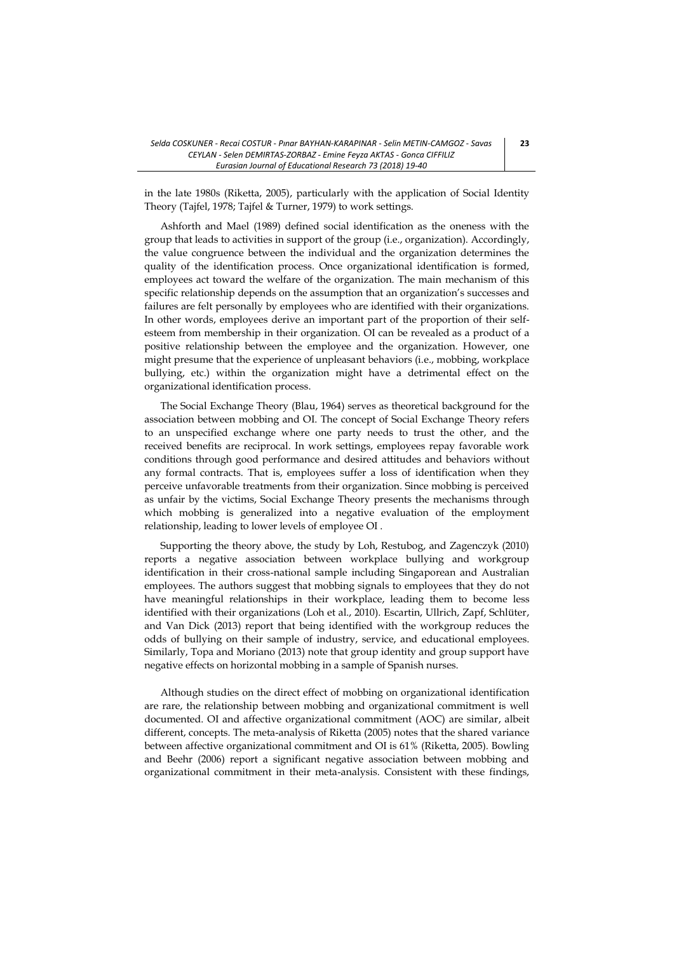in the late 1980s (Riketta, 2005), particularly with the application of Social Identity Theory (Tajfel, 1978; Tajfel & Turner, 1979) to work settings.

Ashforth and Mael (1989) defined social identification as the oneness with the group that leads to activities in support of the group (i.e., organization). Accordingly, the value congruence between the individual and the organization determines the quality of the identification process. Once organizational identification is formed, employees act toward the welfare of the organization. The main mechanism of this specific relationship depends on the assumption that an organization's successes and failures are felt personally by employees who are identified with their organizations. In other words, employees derive an important part of the proportion of their selfesteem from membership in their organization. OI can be revealed as a product of a positive relationship between the employee and the organization. However, one might presume that the experience of unpleasant behaviors (i.e., mobbing, workplace bullying, etc.) within the organization might have a detrimental effect on the organizational identification process.

The Social Exchange Theory (Blau, 1964) serves as theoretical background for the association between mobbing and OI. The concept of Social Exchange Theory refers to an unspecified exchange where one party needs to trust the other, and the received benefits are reciprocal. In work settings, employees repay favorable work conditions through good performance and desired attitudes and behaviors without any formal contracts. That is, employees suffer a loss of identification when they perceive unfavorable treatments from their organization. Since mobbing is perceived as unfair by the victims, Social Exchange Theory presents the mechanisms through which mobbing is generalized into a negative evaluation of the employment relationship, leading to lower levels of employee OI .

Supporting the theory above, the study by Loh, Restubog, and Zagenczyk (2010) reports a negative association between workplace bullying and workgroup identification in their cross-national sample including Singaporean and Australian employees. The authors suggest that mobbing signals to employees that they do not have meaningful relationships in their workplace, leading them to become less identified with their organizations (Loh et al., 2010). Escartin, Ullrich, Zapf, Schlüter, and Van Dick (2013) report that being identified with the workgroup reduces the odds of bullying on their sample of industry, service, and educational employees. Similarly, Topa and Moriano (2013) note that group identity and group support have negative effects on horizontal mobbing in a sample of Spanish nurses.

Although studies on the direct effect of mobbing on organizational identification are rare, the relationship between mobbing and organizational commitment is well documented. OI and affective organizational commitment (AOC) are similar, albeit different, concepts. The meta-analysis of Riketta (2005) notes that the shared variance between affective organizational commitment and OI is 61% (Riketta, 2005). Bowling and Beehr (2006) report a significant negative association between mobbing and organizational commitment in their meta-analysis. Consistent with these findings,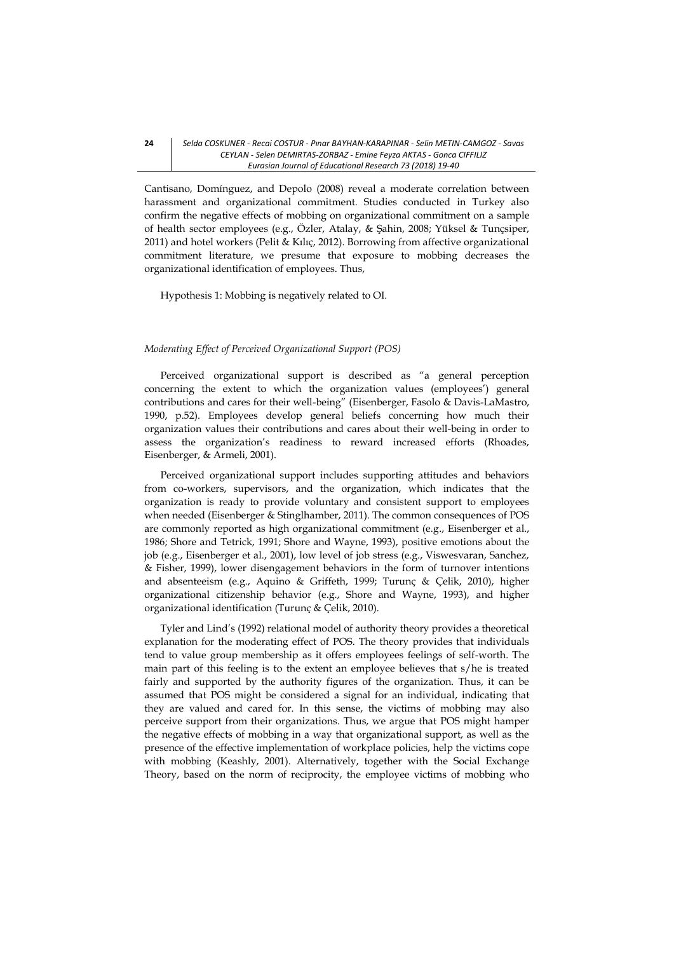Cantisano, Domínguez, and Depolo (2008) reveal a moderate correlation between harassment and organizational commitment. Studies conducted in Turkey also confirm the negative effects of mobbing on organizational commitment on a sample of health sector employees (e.g., Özler, Atalay, & Şahin, 2008; Yüksel & Tunçsiper, 2011) and hotel workers (Pelit & Kılıç, 2012). Borrowing from affective organizational commitment literature, we presume that exposure to mobbing decreases the organizational identification of employees. Thus,

Hypothesis 1: Mobbing is negatively related to OI.

#### *Moderating Effect of Perceived Organizational Support (POS)*

Perceived organizational support is described as "a general perception concerning the extent to which the organization values (employees') general contributions and cares for their well-being" (Eisenberger, Fasolo & Davis-LaMastro, 1990, p.52). Employees develop general beliefs concerning how much their organization values their contributions and cares about their well-being in order to assess the organization's readiness to reward increased efforts (Rhoades, Eisenberger, & Armeli, 2001).

Perceived organizational support includes supporting attitudes and behaviors from co-workers, supervisors, and the organization, which indicates that the organization is ready to provide voluntary and consistent support to employees when needed (Eisenberger & Stinglhamber, 2011). The common consequences of POS are commonly reported as high organizational commitment (e.g., Eisenberger et al., 1986; Shore and Tetrick, 1991; Shore and Wayne, 1993), positive emotions about the job (e.g., Eisenberger et al., 2001), low level of job stress (e.g., Viswesvaran, Sanchez, & Fisher, 1999), lower disengagement behaviors in the form of turnover intentions and absenteeism (e.g., Aquino & Griffeth, 1999; Turunç & Çelik, 2010), higher organizational citizenship behavior (e.g., Shore and Wayne, 1993), and higher organizational identification (Turunç & Çelik, 2010).

Tyler and Lind's (1992) relational model of authority theory provides a theoretical explanation for the moderating effect of POS. The theory provides that individuals tend to value group membership as it offers employees feelings of self-worth. The main part of this feeling is to the extent an employee believes that s/he is treated fairly and supported by the authority figures of the organization. Thus, it can be assumed that POS might be considered a signal for an individual, indicating that they are valued and cared for. In this sense, the victims of mobbing may also perceive support from their organizations. Thus, we argue that POS might hamper the negative effects of mobbing in a way that organizational support, as well as the presence of the effective implementation of workplace policies, help the victims cope with mobbing (Keashly, 2001). Alternatively, together with the Social Exchange Theory, based on the norm of reciprocity, the employee victims of mobbing who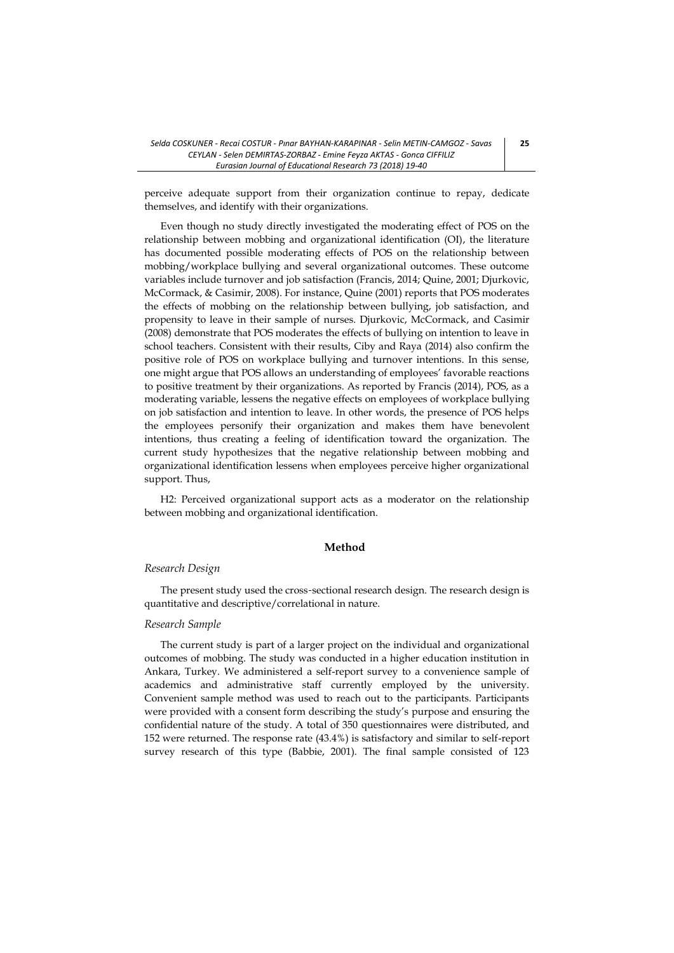perceive adequate support from their organization continue to repay, dedicate themselves, and identify with their organizations.

Even though no study directly investigated the moderating effect of POS on the relationship between mobbing and organizational identification (OI), the literature has documented possible moderating effects of POS on the relationship between mobbing/workplace bullying and several organizational outcomes. These outcome variables include turnover and job satisfaction (Francis, 2014; Quine, 2001; Djurkovic, McCormack, & Casimir, 2008). For instance, Quine (2001) reports that POS moderates the effects of mobbing on the relationship between bullying, job satisfaction, and propensity to leave in their sample of nurses. Djurkovic, McCormack, and Casimir (2008) demonstrate that POS moderates the effects of bullying on intention to leave in school teachers. Consistent with their results, Ciby and Raya (2014) also confirm the positive role of POS on workplace bullying and turnover intentions. In this sense, one might argue that POS allows an understanding of employees' favorable reactions to positive treatment by their organizations. As reported by Francis (2014), POS, as a moderating variable, lessens the negative effects on employees of workplace bullying on job satisfaction and intention to leave. In other words, the presence of POS helps the employees personify their organization and makes them have benevolent intentions, thus creating a feeling of identification toward the organization. The current study hypothesizes that the negative relationship between mobbing and organizational identification lessens when employees perceive higher organizational support. Thus,

H2: Perceived organizational support acts as a moderator on the relationship between mobbing and organizational identification.

# **Method**

### *Research Design*

The present study used the cross-sectional research design. The research design is quantitative and descriptive/correlational in nature.

#### *Research Sample*

The current study is part of a larger project on the individual and organizational outcomes of mobbing. The study was conducted in a higher education institution in Ankara, Turkey. We administered a self-report survey to a convenience sample of academics and administrative staff currently employed by the university. Convenient sample method was used to reach out to the participants. Participants were provided with a consent form describing the study's purpose and ensuring the confidential nature of the study. A total of 350 questionnaires were distributed, and 152 were returned. The response rate (43.4%) is satisfactory and similar to self-report survey research of this type (Babbie, 2001). The final sample consisted of 123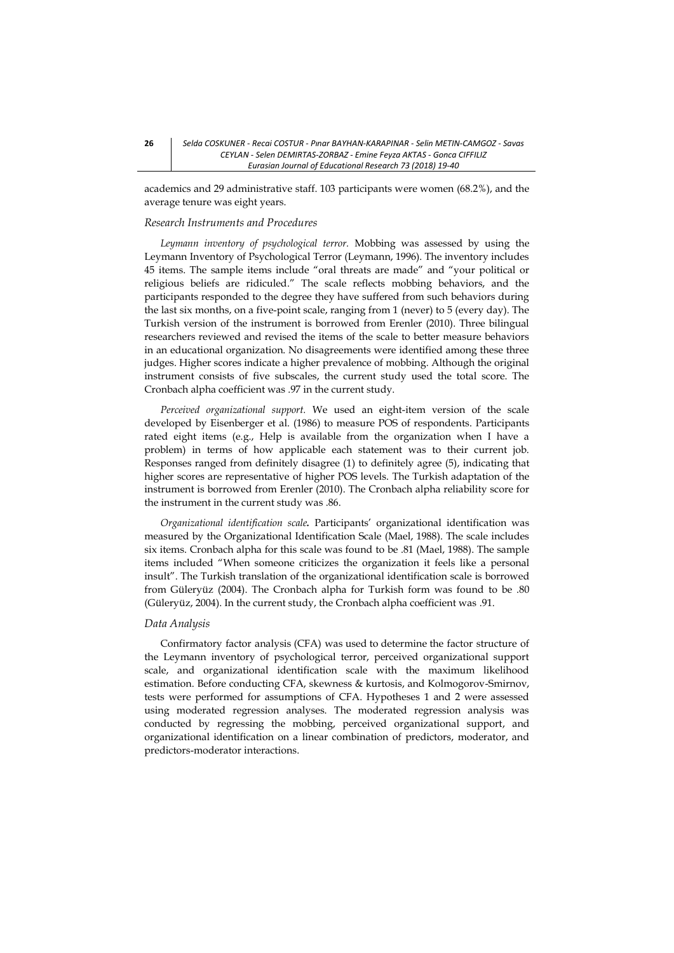academics and 29 administrative staff. 103 participants were women (68.2%), and the average tenure was eight years.

#### *Research Instruments and Procedures*

*Leymann inventory of psychological terror.* Mobbing was assessed by using the Leymann Inventory of Psychological Terror (Leymann, 1996). The inventory includes 45 items. The sample items include "oral threats are made" and "your political or religious beliefs are ridiculed." The scale reflects mobbing behaviors, and the participants responded to the degree they have suffered from such behaviors during the last six months, on a five-point scale, ranging from 1 (never) to 5 (every day). The Turkish version of the instrument is borrowed from Erenler (2010). Three bilingual researchers reviewed and revised the items of the scale to better measure behaviors in an educational organization. No disagreements were identified among these three judges. Higher scores indicate a higher prevalence of mobbing. Although the original instrument consists of five subscales, the current study used the total score. The Cronbach alpha coefficient was .97 in the current study.

*Perceived organizational support.* We used an eight-item version of the scale developed by [Eisenberger et al.](javascript:void(0);) (1986) to measure POS of respondents. Participants rated eight items (e.g., Help is available from the organization when I have a problem) in terms of how applicable each statement was to their current job. Responses ranged from definitely disagree (1) to definitely agree (5), indicating that higher scores are representative of higher POS levels. The Turkish adaptation of the instrument is borrowed from Erenler (2010). The Cronbach alpha reliability score for the instrument in the current study was .86.

*Organizational identification scale.* Participants' organizational identification was measured by the Organizational Identification Scale (Mael, 1988). The scale includes six items. Cronbach alpha for this scale was found to be .81 (Mael, 1988). The sample items included "When someone criticizes the organization it feels like a personal insult". The Turkish translation of the organizational identification scale is borrowed from Güleryüz (2004). The Cronbach alpha for Turkish form was found to be .80 (Güleryüz, 2004). In the current study, the Cronbach alpha coefficient was .91.

#### *Data Analysis*

Confirmatory factor analysis (CFA) was used to determine the factor structure of the Leymann inventory of psychological terror, perceived organizational support scale, and organizational identification scale with the maximum likelihood estimation. Before conducting CFA, skewness & kurtosis, and Kolmogorov-Smirnov, tests were performed for assumptions of CFA. Hypotheses 1 and 2 were assessed using moderated regression analyses. The moderated regression analysis was conducted by regressing the mobbing, perceived organizational support, and organizational identification on a linear combination of predictors, moderator, and predictors-moderator interactions.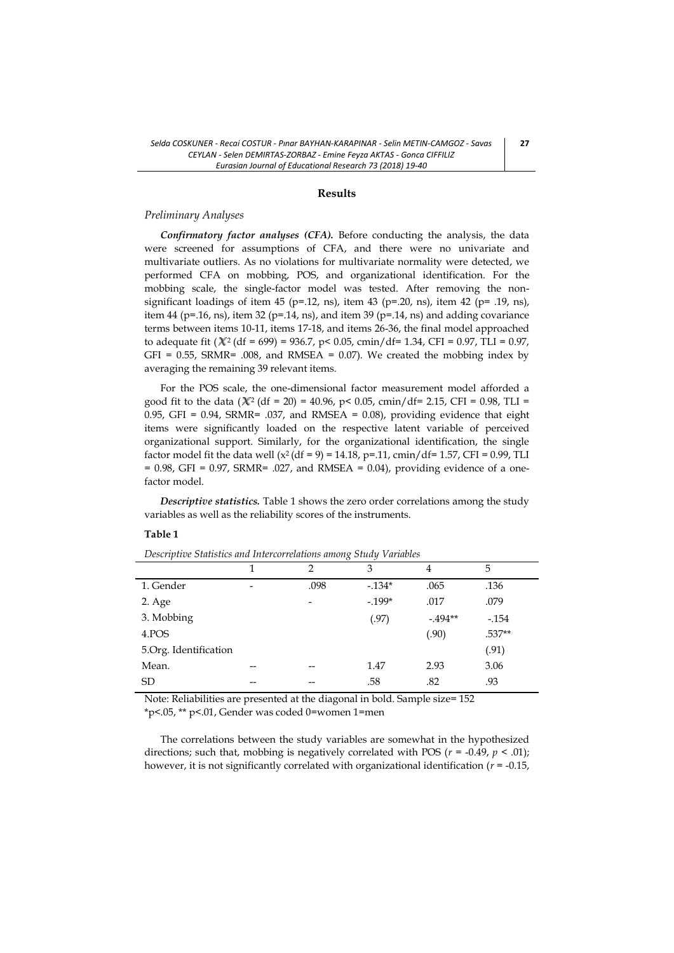### **Results**

#### *Preliminary Analyses*

*Confirmatory factor analyses (CFA).* Before conducting the analysis, the data were screened for assumptions of CFA, and there were no univariate and multivariate outliers. As no violations for multivariate normality were detected, we performed CFA on mobbing, POS, and organizational identification. For the mobbing scale, the single-factor model was tested. After removing the nonsignificant loadings of item 45 (p=.12, ns), item 43 (p=.20, ns), item 42 (p= .19, ns), item 44 (p=.16, ns), item 32 (p=.14, ns), and item 39 (p=.14, ns) and adding covariance terms between items 10-11, items 17-18, and items 26-36, the final model approached to adequate fit  $(X^2 (df = 699) = 936.7, p < 0.05, cmin/df = 1.34, CFI = 0.97, TLI = 0.97,$ GFI = 0.55, SRMR= .008, and RMSEA = 0.07). We created the mobbing index by averaging the remaining 39 relevant items.

For the POS scale, the one-dimensional factor measurement model afforded a good fit to the data ( $\chi$ <sup>2</sup> (df = 20) = 40.96, p < 0.05, cmin/df = 2.15, CFI = 0.98, TLI = 0.95, GFI =  $0.94$ , SRMR=  $.037$ , and RMSEA = 0.08), providing evidence that eight items were significantly loaded on the respective latent variable of perceived organizational support. Similarly, for the organizational identification, the single factor model fit the data well ( $x^2$  (df = 9) = 14.18, p=.11, cmin/df= 1.57, CFI = 0.99, TLI  $= 0.98$ , GFI = 0.97, SRMR= .027, and RMSEA = 0.04), providing evidence of a onefactor model.

*Descriptive statistics.* Table 1 shows the zero order correlations among the study variables as well as the reliability scores of the instruments.

### **Table 1**

|                       |                          | $\mathcal{P}$            | 3       | 4        | 5      |
|-----------------------|--------------------------|--------------------------|---------|----------|--------|
| 1. Gender             | $\overline{\phantom{0}}$ | .098                     | $-134*$ | .065     | .136   |
| 2. Age                |                          | $\overline{\phantom{a}}$ | $-199*$ | .017     | .079   |
| 3. Mobbing            |                          |                          | (.97)   | $-494**$ | $-154$ |
| 4.POS                 |                          |                          |         | (.90)    | .537** |
| 5.Org. Identification |                          |                          |         |          | (.91)  |
| Mean.                 | --                       | --                       | 1.47    | 2.93     | 3.06   |
| <b>SD</b>             | --                       | --                       | .58     | .82      | .93    |

*Descriptive Statistics and Intercorrelations among Study Variables*

Note: Reliabilities are presented at the diagonal in bold. Sample size= 152 \*p<.05, \*\* p<.01, Gender was coded 0=women 1=men

The correlations between the study variables are somewhat in the hypothesized directions; such that, mobbing is negatively correlated with POS ( $r = -0.49$ ,  $p < .01$ ); however, it is not significantly correlated with organizational identification (*r* = -0.15,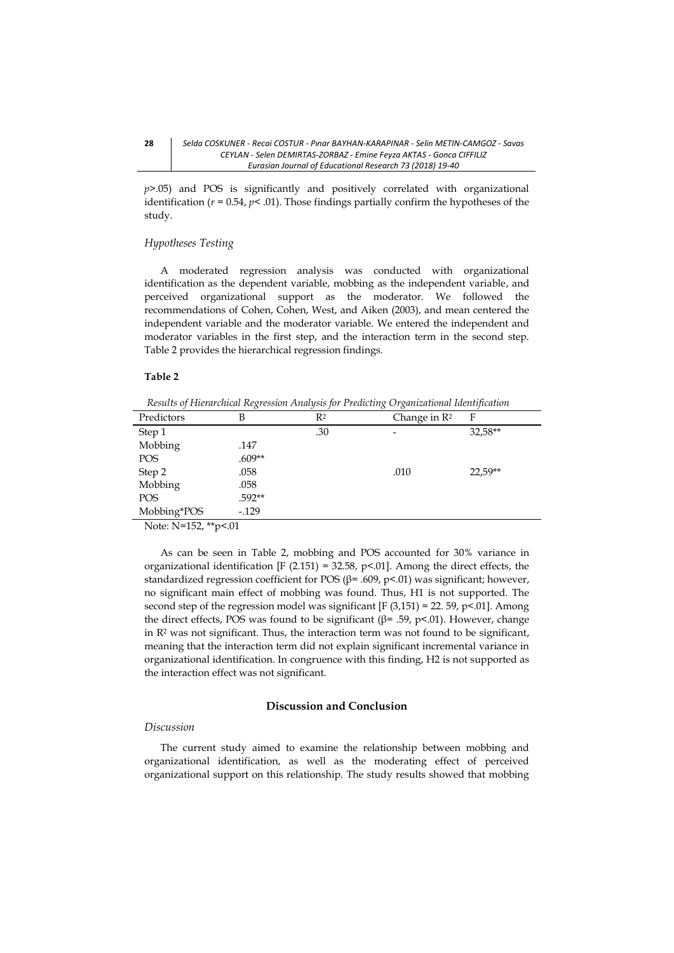*p>*.05) and POS is significantly and positively correlated with organizational identification ( $r = 0.54$ ,  $p < .01$ ). Those findings partially confirm the hypotheses of the study.

#### *Hypotheses Testing*

A moderated regression analysis was conducted with organizational identification as the dependent variable, mobbing as the independent variable, and perceived organizational support as the moderator. We followed the recommendations of Cohen, Cohen, West, and Aiken (2003), and mean centered the independent variable and the moderator variable. We entered the independent and moderator variables in the first step, and the interaction term in the second step. Table 2 provides the hierarchical regression findings.

#### **Table 2**

*Results of Hierarchical Regression Analysis for Predicting Organizational Identification*

| Predictors  | В        | $R^2$ | Change in $\mathbb{R}^2$ | F       |
|-------------|----------|-------|--------------------------|---------|
| Step 1      |          | .30   | $\overline{\phantom{a}}$ | 32,58** |
| Mobbing     | .147     |       |                          |         |
| POS         | $.609**$ |       |                          |         |
| Step 2      | .058     |       | .010                     | 22,59** |
| Mobbing     | .058     |       |                          |         |
| <b>POS</b>  | $.592**$ |       |                          |         |
| Mobbing*POS | $-129$   |       |                          |         |

Note: N=152, \*\*p<.01

As can be seen in Table 2, mobbing and POS accounted for 30% variance in organizational identification [F (2.151) = 32.58, p <. 01]. Among the direct effects, the standardized regression coefficient for POS ( $\beta$ = .609, p<.01) was significant; however, no significant main effect of mobbing was found. Thus, H1 is not supported. The second step of the regression model was significant  $[F(3,151) = 22.59, p<0.01]$ . Among the direct effects, POS was found to be significant (β= .59, p<.01). However, change in R<sup>2</sup> was not significant. Thus, the interaction term was not found to be significant, meaning that the interaction term did not explain significant incremental variance in organizational identification. In congruence with this finding, H2 is not supported as the interaction effect was not significant.

## **Discussion and Conclusion**

### *Discussion*

The current study aimed to examine the relationship between mobbing and organizational identification, as well as the moderating effect of perceived organizational support on this relationship. The study results showed that mobbing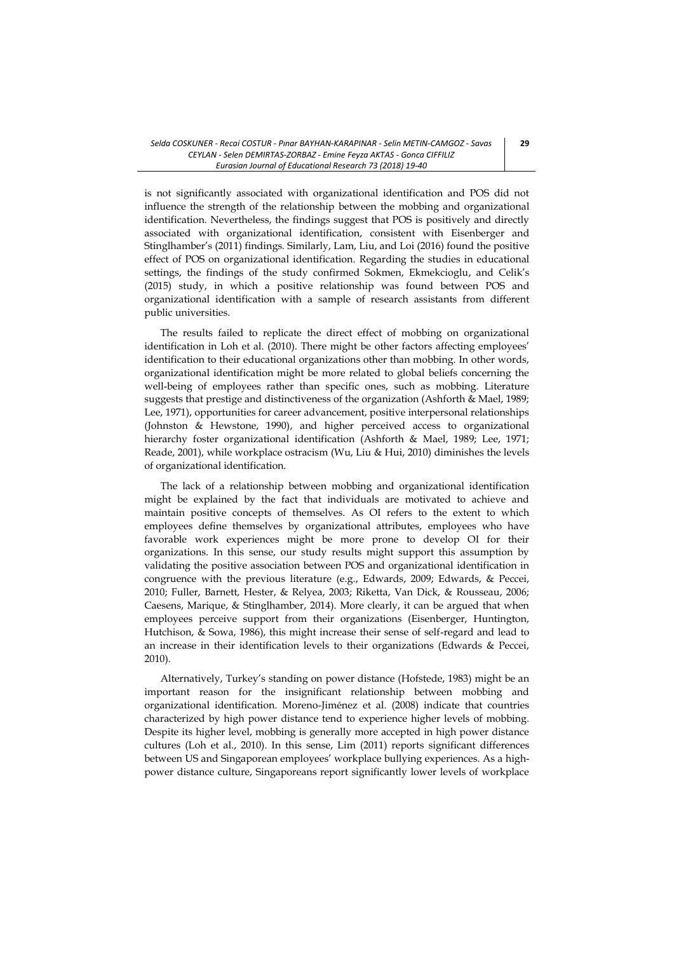is not significantly associated with organizational identification and POS did not influence the strength of the relationship between the mobbing and organizational identification. Nevertheless, the findings suggest that POS is positively and directly associated with organizational identification, consistent with Eisenberger and Stinglhamber's (2011) findings. Similarly, Lam, Liu, and Loi (2016) found the positive effect of POS on organizational identification. Regarding the studies in educational settings, the findings of the study confirmed Sokmen, Ekmekcioglu, and Celik's (2015) study, in which a positive relationship was found between POS and organizational identification with a sample of research assistants from different public universities.

The results failed to replicate the direct effect of mobbing on organizational identification in Loh et al. (2010). There might be other factors affecting employees' identification to their educational organizations other than mobbing. In other words, organizational identification might be more related to global beliefs concerning the well-being of employees rather than specific ones, such as mobbing. Literature suggests that prestige and distinctiveness of the organization (Ashforth & Mael, 1989; Lee, 1971), opportunities for career advancement, positive interpersonal relationships (Johnston & Hewstone, 1990), and higher perceived access to organizational hierarchy foster organizational identification (Ashforth & Mael, 1989; Lee, 1971; Reade, 2001), while workplace ostracism (Wu, Liu & Hui, 2010) diminishes the levels of organizational identification.

The lack of a relationship between mobbing and organizational identification might be explained by the fact that individuals are motivated to achieve and maintain positive concepts of themselves. As OI refers to the extent to which employees define themselves by organizational attributes, employees who have favorable work experiences might be more prone to develop OI for their organizations. In this sense, our study results might support this assumption by validating the positive association between POS and organizational identification in congruence with the previous literature (e.g., Edwards, 2009; Edwards, & Peccei, 2010; Fuller, Barnett, Hester, & Relyea, 2003; Riketta, Van Dick, & Rousseau, 2006; Caesens, Marique, & Stinglhamber, 2014). More clearly, it can be argued that when employees perceive support from their organizations (Eisenberger, Huntington, Hutchison, & Sowa, 1986), this might increase their sense of self-regard and lead to an increase in their identification levels to their organizations (Edwards & Peccei, 2010).

Alternatively, Turkey's standing on power distance (Hofstede, 1983) might be an important reason for the insignificant relationship between mobbing and organizational identification. Moreno-Jiménez et al. (2008) indicate that countries characterized by high power distance tend to experience higher levels of mobbing. Despite its higher level, mobbing is generally more accepted in high power distance cultures (Loh et al., 2010). In this sense, Lim (2011) reports significant differences between US and Singaporean employees' workplace bullying experiences. As a highpower distance culture, Singaporeans report significantly lower levels of workplace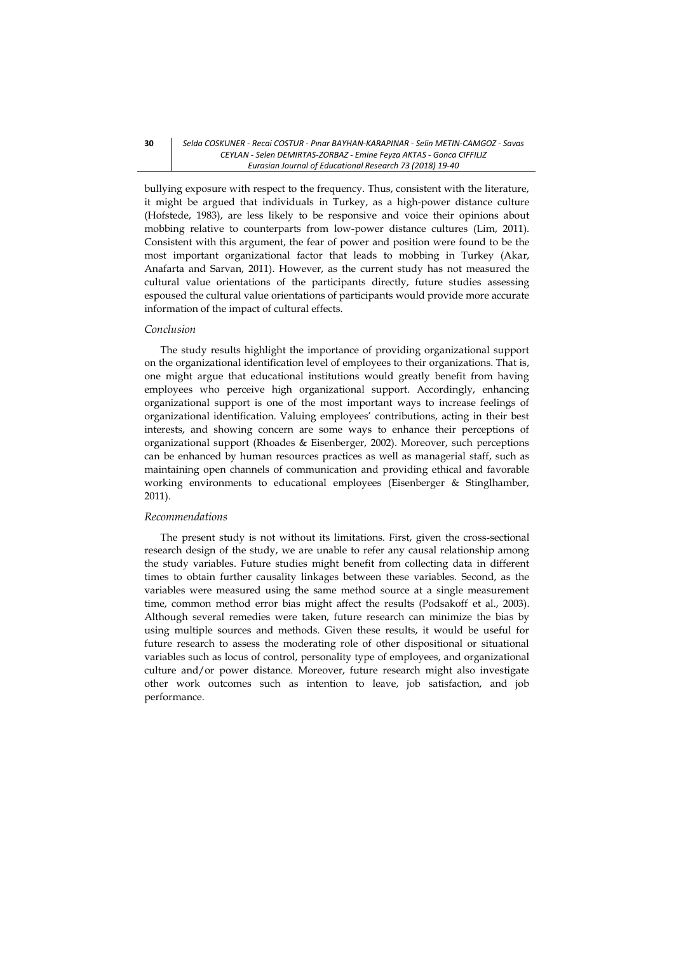bullying exposure with respect to the frequency. Thus, consistent with the literature, it might be argued that individuals in Turkey, as a high-power distance culture (Hofstede, 1983), are less likely to be responsive and voice their opinions about mobbing relative to counterparts from low-power distance cultures (Lim, 2011). Consistent with this argument, the fear of power and position were found to be the most important organizational factor that leads to mobbing in Turkey (Akar, Anafarta and Sarvan, 2011). However, as the current study has not measured the cultural value orientations of the participants directly, future studies assessing espoused the cultural value orientations of participants would provide more accurate information of the impact of cultural effects.

#### *Conclusion*

The study results highlight the importance of providing organizational support on the organizational identification level of employees to their organizations. That is, one might argue that educational institutions would greatly benefit from having employees who perceive high organizational support. Accordingly, enhancing organizational support is one of the most important ways to increase feelings of organizational identification. Valuing employees' contributions, acting in their best interests, and showing concern are some ways to enhance their perceptions of organizational support (Rhoades & Eisenberger, 2002). Moreover, such perceptions can be enhanced by human resources practices as well as managerial staff, such as maintaining open channels of communication and providing ethical and favorable working environments to educational employees (Eisenberger & Stinglhamber, 2011).

#### *Recommendations*

The present study is not without its limitations. First, given the cross-sectional research design of the study, we are unable to refer any causal relationship among the study variables. Future studies might benefit from collecting data in different times to obtain further causality linkages between these variables. Second, as the variables were measured using the same method source at a single measurement time, common method error bias might affect the results (Podsakoff et al., 2003). Although several remedies were taken, future research can minimize the bias by using multiple sources and methods. Given these results, it would be useful for future research to assess the moderating role of other dispositional or situational variables such as locus of control, personality type of employees, and organizational culture and/or power distance. Moreover, future research might also investigate other work outcomes such as intention to leave, job satisfaction, and job performance.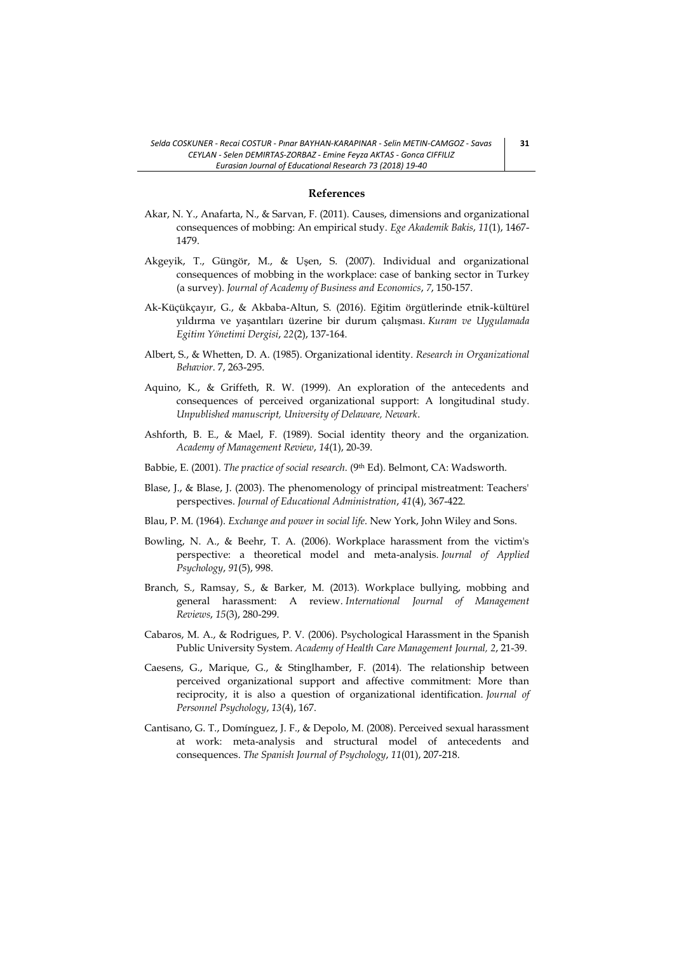#### **References**

- Akar, N. Y., Anafarta, N., & Sarvan, F. (2011). Causes, dimensions and organizational consequences of mobbing: An empirical study. *Ege Akademik Bakis*, *11*(1), 1467- 1479.
- Akgeyik, T., Güngör, M., & Uşen, S. (2007). Individual and organizational consequences of mobbing in the workplace: case of banking sector in Turkey (a survey). *Journal of Academy of Business and Economics*, *7*, 150-157.
- Ak-Küçükçayır, G., & Akbaba-Altun, S. (2016). Eğitim örgütlerinde etnik-kültürel yıldırma ve yaşantıları üzerine bir durum çalışması. *Kuram ve Uygulamada Egitim Yönetimi Dergisi*, *22*(2), 137-164.
- Albert, S., & Whetten, D. A. (1985). Organizational identity. *Research in Organizational Behavior*. 7, 263-295.
- Aquino, K., & Griffeth, R. W. (1999). An exploration of the antecedents and consequences of perceived organizational support: A longitudinal study. *Unpublished manuscript, University of Delaware, Newark*.
- Ashforth, B. E., & Mael, F. (1989). Social identity theory and the organization. *Academy of Management Review*, *14*(1), 20-39.
- Babbie, E. (2001). *The practice of social research*. (9th Ed). Belmont, CA: Wadsworth.
- Blase, J., & Blase, J. (2003). The phenomenology of principal mistreatment: Teachers' perspectives. *Journal of Educational Administration*, *41*(4), 367-422.
- Blau, P. M. (1964). *Exchange and power in social life*. New York, John Wiley and Sons.
- Bowling, N. A., & Beehr, T. A. (2006). Workplace harassment from the victim's perspective: a theoretical model and meta-analysis. *Journal of Applied Psychology*, *91*(5), 998.
- Branch, S., Ramsay, S., & Barker, M. (2013). Workplace bullying, mobbing and general harassment: A review. *International Journal of Management Reviews*, *15*(3), 280-299.
- Cabaros, M. A., & Rodrigues, P. V. (2006). Psychological Harassment in the Spanish Public University System. *Academy of Health Care Management Journal, 2*, 21-39.
- Caesens, G., Marique, G., & Stinglhamber, F. (2014). The relationship between perceived organizational support and affective commitment: More than reciprocity, it is also a question of organizational identification. *Journal of Personnel Psychology*, *13*(4), 167.
- Cantisano, G. T., Domínguez, J. F., & Depolo, M. (2008). Perceived sexual harassment at work: meta-analysis and structural model of antecedents and consequences. *The Spanish Journal of Psychology*, *11*(01), 207-218.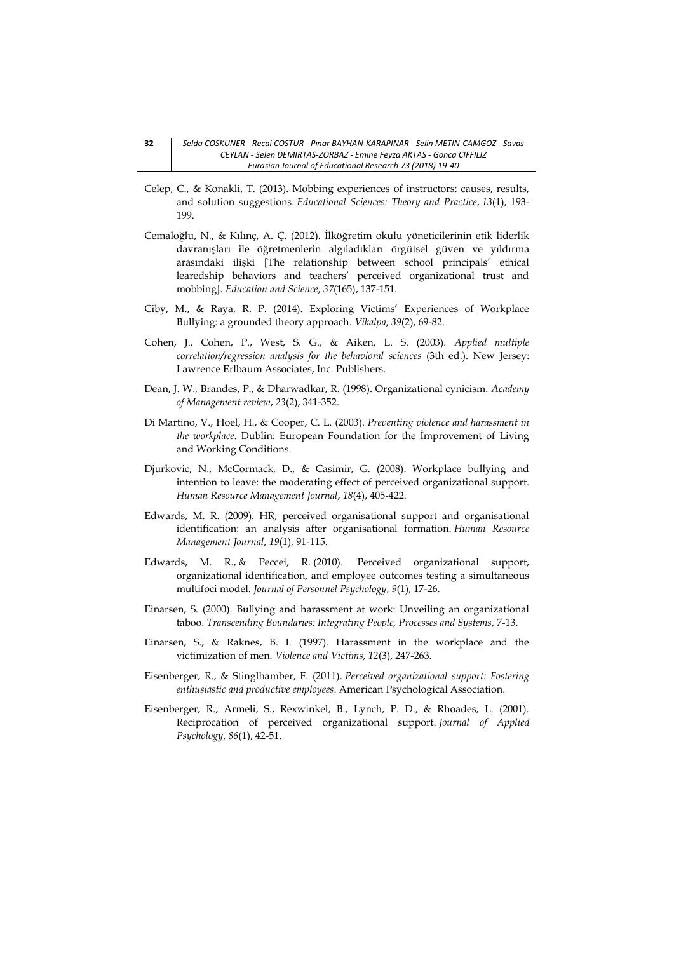- Celep, C., & Konakli, T. (2013). Mobbing experiences of instructors: causes, results, and solution suggestions. *Educational Sciences: Theory and Practice*, *13*(1), 193- 199.
- Cemaloğlu, N., & Kılınç, A. Ç. (2012). İlköğretim okulu yöneticilerinin etik liderlik davranışları ile öğretmenlerin algıladıkları örgütsel güven ve yıldırma arasındaki ilişki [The relationship between school principals' ethical learedship behaviors and teachers' perceived organizational trust and mobbing]. *Education and Science*, *37*(165), 137-151.
- Ciby, M., & Raya, R. P. (2014). Exploring Victims' Experiences of Workplace Bullying: a grounded theory approach. *Vikalpa*, *39*(2), 69-82.
- Cohen, J., Cohen, P., West, S. G., & Aiken, L. S. (2003). *Applied multiple correlation/regression analysis for the behavioral sciences* (3th ed.). New Jersey: Lawrence Erlbaum Associates, Inc. Publishers.
- Dean, J. W., Brandes, P., & Dharwadkar, R. (1998). Organizational cynicism. *Academy of Management review*, *23*(2), 341-352.
- Di Martino, V., Hoel, H., & Cooper, C. L. (2003). *Preventing violence and harassment in the workplace*. Dublin: European Foundation for the İmprovement of Living and Working Conditions.
- Djurkovic, N., McCormack, D., & Casimir, G. (2008). Workplace bullying and intention to leave: the moderating effect of perceived organizational support. *Human Resource Management Journal*, *18*(4), 405-422.
- Edwards, M. R. (2009). HR, perceived organisational support and organisational identification: an analysis after organisational formation. *Human Resource Management Journal*, *19*(1), 91-115.
- Edwards, M. R., & Peccei, R. (2010). 'Perceived organizational support, organizational identification, and employee outcomes testing a simultaneous multifoci model. *Journal of Personnel Psychology*, *9*(1), 17-26.
- Einarsen, S. (2000). Bullying and harassment at work: Unveiling an organizational taboo. *Transcending Boundaries: Integrating People, Processes and Systems*, 7-13.
- Einarsen, S., & Raknes, B. I. (1997). Harassment in the workplace and the victimization of men. *Violence and Victims*, *12*(3), 247-263.
- Eisenberger, R., & Stinglhamber, F. (2011). *Perceived organizational support: Fostering enthusiastic and productive employees*. American Psychological Association.
- Eisenberger, R., Armeli, S., Rexwinkel, B., Lynch, P. D., & Rhoades, L. (2001). Reciprocation of perceived organizational support. *Journal of Applied Psychology*, *86*(1), 42-51.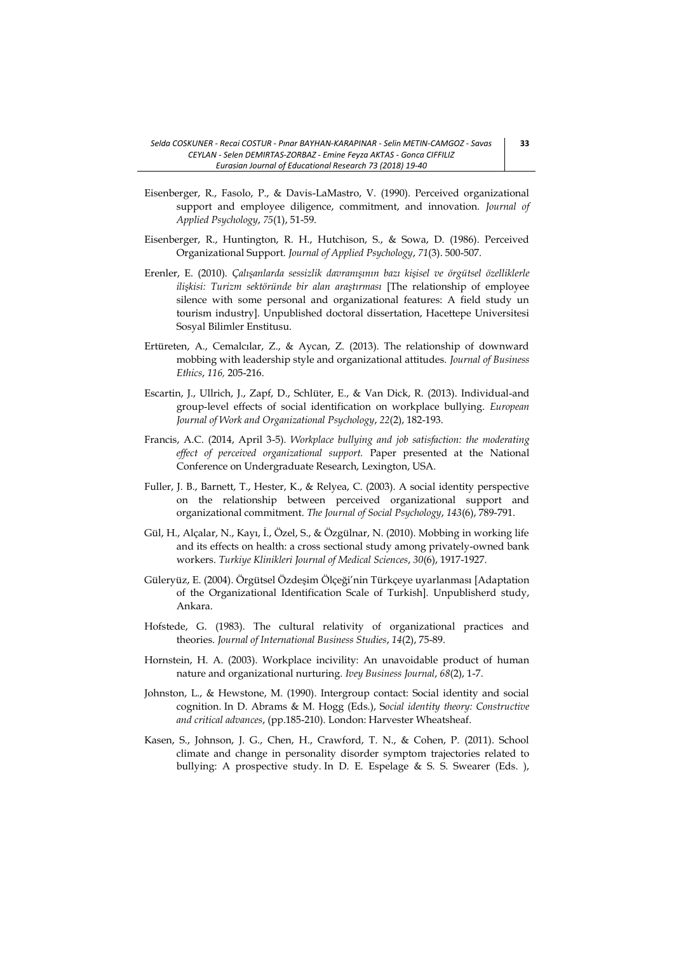- Eisenberger, R., Fasolo, P., & Davis-LaMastro, V. (1990). Perceived organizational support and employee diligence, commitment, and innovation. *Journal of Applied Psychology*, *75*(1), 51-59.
- Eisenberger, R., Huntington, R. H., Hutchison, S., & Sowa, D. (1986). Perceived Organizational Support. *Journal of Applied Psychology*, *71*(3). 500-507.
- Erenler, E. (2010). *Çalışanlarda sessizlik davranışının bazı kişisel ve örgütsel özelliklerle ilişkisi: Turizm sektöründe bir alan araştırması* [The relationship of employee silence with some personal and organizational features: A field study un tourism industry]. Unpublished doctoral dissertation, Hacettepe Universitesi Sosyal Bilimler Enstitusu.
- Ertüreten, A., Cemalcılar, Z., & Aycan, Z. (2013). The relationship of downward mobbing with leadership style and organizational attitudes. *Journal of Business Ethics*, *116,* 205-216.
- Escartin, J., Ullrich, J., Zapf, D., Schlüter, E., & Van Dick, R. (2013). Individual‐and group‐level effects of social identification on workplace bullying. *European Journal of Work and Organizational Psychology*, *22*(2), 182-193.
- Francis, A.C. (2014, April 3-5). *Workplace bullying and job satisfaction: the moderating effect of perceived organizational support.* Paper presented at the National Conference on Undergraduate Research, Lexington, USA.
- Fuller, J. B., Barnett, T., Hester, K., & Relyea, C. (2003). A social identity perspective on the relationship between perceived organizational support and organizational commitment. *The Journal of Social Psychology*, *143*(6), 789-791.
- Gül, H., Alçalar, N., Kayı, İ., Özel, S., & Özgülnar, N. (2010). Mobbing in working life and its effects on health: a cross sectional study among privately-owned bank workers. *Turkiye Klinikleri Journal of Medical Sciences*, *30*(6), 1917-1927.
- Güleryüz, E. (2004). Örgütsel Özdeşim Ölçeği'nin Türkçeye uyarlanması [Adaptation of the Organizational Identification Scale of Turkish]. Unpublisherd study, Ankara.
- Hofstede, G. (1983). The cultural relativity of organizational practices and theories. *Journal of International Business Studies*, *14*(2), 75-89.
- Hornstein, H. A. (2003). Workplace incivility: An unavoidable product of human nature and organizational nurturing. *Ivey Business Journal*, *68*(2), 1-7.
- Johnston, L., & Hewstone, M. (1990). Intergroup contact: Social identity and social cognition. In D. Abrams & M. Hogg (Eds.), S*ocial identity theory: Constructive and critical advances*, (pp.185-210). London: Harvester Wheatsheaf.
- Kasen, S., Johnson, J. G., Chen, H., Crawford, T. N., & Cohen, P. (2011). School climate and change in personality disorder symptom trajectories related to bullying: A prospective study. In D. E. Espelage & S. S. Swearer (Eds. ),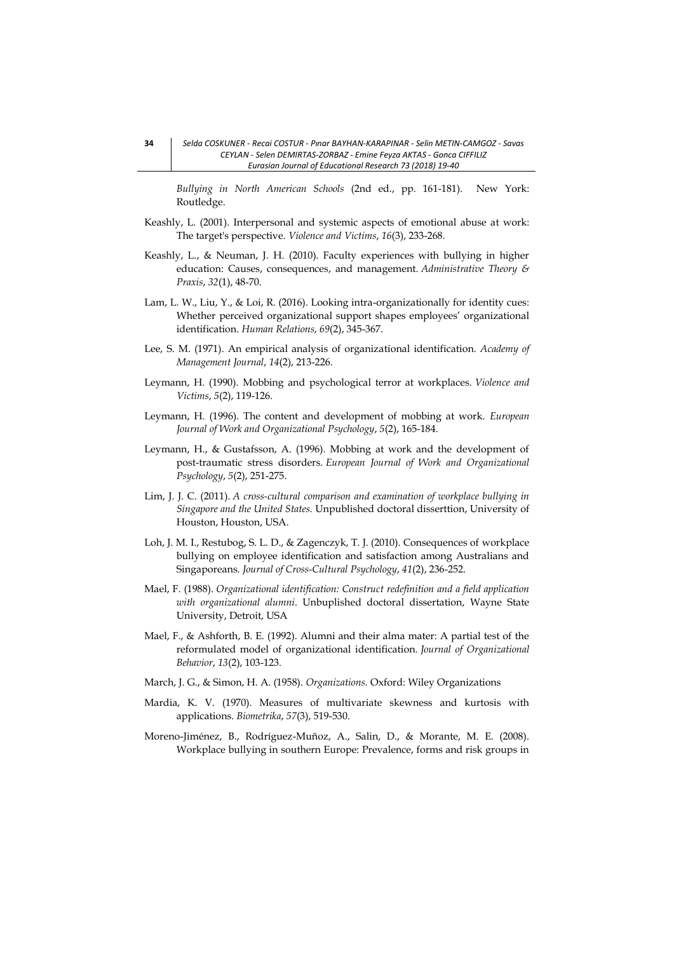*Bullying in North American Schools* (2nd ed., pp. 161-181). New York: Routledge.

- Keashly, L. (2001). Interpersonal and systemic aspects of emotional abuse at work: The target's perspective. *Violence and Victims*, *16*(3), 233-268.
- Keashly, L., & Neuman, J. H. (2010). Faculty experiences with bullying in higher education: Causes, consequences, and management. *Administrative Theory & Praxis*, *32*(1), 48-70.
- Lam, L. W., Liu, Y., & Loi, R. (2016). Looking intra-organizationally for identity cues: Whether perceived organizational support shapes employees' organizational identification. *Human Relations*, *69*(2), 345-367.
- Lee, S. M. (1971). An empirical analysis of organizational identification. *Academy of Management Journal*, *14*(2), 213-226.
- Leymann, H. (1990). Mobbing and psychological terror at workplaces. *Violence and Victims*, *5*(2), 119-126.
- Leymann, H. (1996). The content and development of mobbing at work. *European Journal of Work and Organizational Psychology*, *5*(2), 165-184.
- Leymann, H., & Gustafsson, A. (1996). Mobbing at work and the development of post-traumatic stress disorders. *European Journal of Work and Organizational Psychology*, *5*(2), 251-275.
- Lim, J. J. C. (2011). *A cross-cultural comparison and examination of workplace bullying in Singapore and the United States.* Unpublished doctoral disserttion, University of Houston, Houston, USA.
- Loh, J. M. I., Restubog, S. L. D., & Zagenczyk, T. J. (2010). Consequences of workplace bullying on employee identification and satisfaction among Australians and Singaporeans. *Journal of Cross-Cultural Psychology*, *41*(2), 236-252.
- Mael, F. (1988). *Organizational identification: Construct redefinition and a field application with organizational alumni*. Unbuplished doctoral dissertation, Wayne State University, Detroit, USA
- Mael, F., & Ashforth, B. E. (1992). Alumni and their alma mater: A partial test of the reformulated model of organizational identification. *Journal of Organizational Behavior*, *13*(2), 103-123.
- March, J. G., & Simon, H. A. (1958). *Organizations.* Oxford: Wiley Organizations
- Mardia, K. V. (1970). Measures of multivariate skewness and kurtosis with applications. *Biometrika*, *57*(3), 519-530.
- Moreno-Jiménez, B., Rodríguez-Muñoz, A., Salin, D., & Morante, M. E. (2008). Workplace bullying in southern Europe: Prevalence, forms and risk groups in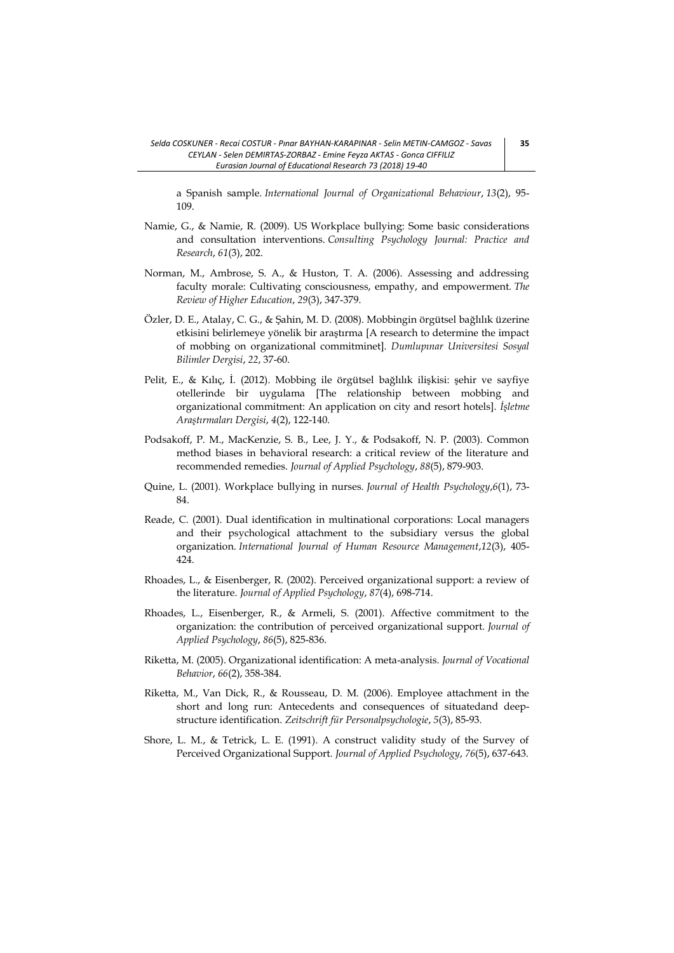a Spanish sample. *International Journal of Organizational Behaviour*, *13*(2), 95- 109.

- Namie, G., & Namie, R. (2009). US Workplace bullying: Some basic considerations and consultation interventions. *Consulting Psychology Journal: Practice and Research*, *61*(3), 202.
- Norman, M., Ambrose, S. A., & Huston, T. A. (2006). Assessing and addressing faculty morale: Cultivating consciousness, empathy, and empowerment. *The Review of Higher Education*, *29*(3), 347-379.
- Özler, D. E., Atalay, C. G., & Şahin, M. D. (2008). Mobbingin örgütsel bağlılık üzerine etkisini belirlemeye yönelik bir araştırma [A research to determine the impact of mobbing on organizational commitminet]. *Dumlupınar Universitesi Sosyal Bilimler Dergisi*, *22*, 37-60.
- Pelit, E., & Kılıç, İ. (2012). Mobbing ile örgütsel bağlılık ilişkisi: şehir ve sayfiye otellerinde bir uygulama [The relationship between mobbing and organizational commitment: An application on city and resort hotels]. *İşletme Araştırmaları Dergisi*, *4*(2), 122-140.
- Podsakoff, P. M., MacKenzie, S. B., Lee, J. Y., & Podsakoff, N. P. (2003). Common method biases in behavioral research: a critical review of the literature and recommended remedies. *Journal of Applied Psychology*, *88*(5), 879-903.
- Quine, L. (2001). Workplace bullying in nurses. *Journal of Health Psychology*,*6*(1), 73- 84.
- Reade, C. (2001). Dual identification in multinational corporations: Local managers and their psychological attachment to the subsidiary versus the global organization. *International Journal of Human Resource Management*,*12*(3), 405- 424.
- Rhoades, L., & Eisenberger, R. (2002). Perceived organizational support: a review of the literature. *Journal of Applied Psychology*, *87*(4), 698-714.
- Rhoades, L., Eisenberger, R., & Armeli, S. (2001). Affective commitment to the organization: the contribution of perceived organizational support. *Journal of Applied Psychology*, *86*(5), 825-836.
- Riketta, M. (2005). Organizational identification: A meta-analysis. *Journal of Vocational Behavior*, *66*(2), 358-384.
- Riketta, M., Van Dick, R., & Rousseau, D. M. (2006). Employee attachment in the short and long run: Antecedents and consequences of situatedand deepstructure identification. *Zeitschrift für Personalpsychologie*, *5*(3), 85-93.
- Shore, L. M., & Tetrick, L. E. (1991). A construct validity study of the Survey of Perceived Organizational Support. *Journal of Applied Psychology*, *76*(5), 637-643.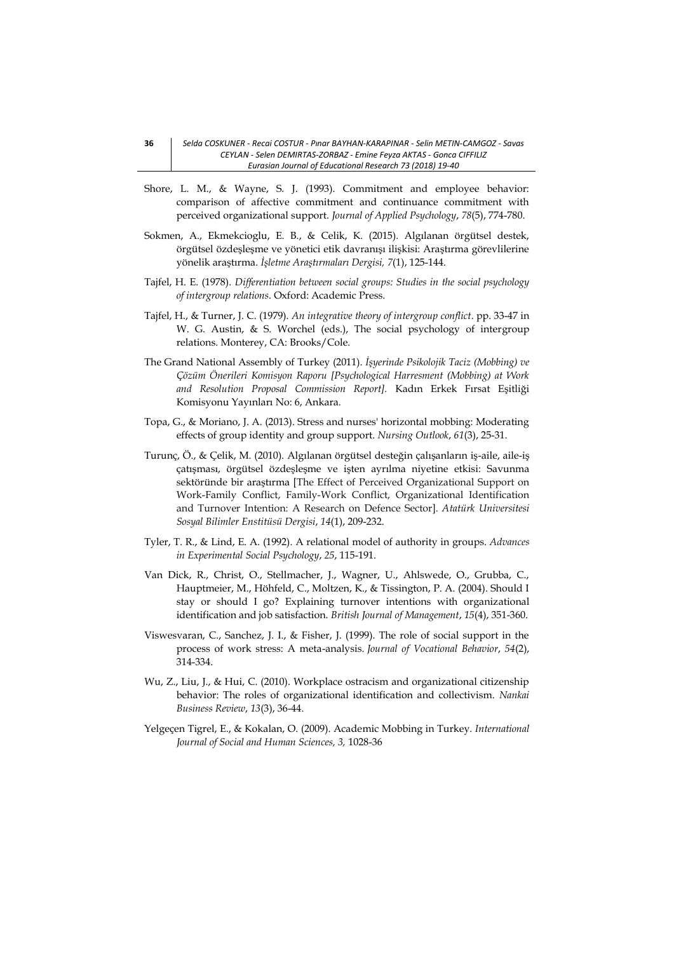- Shore, L. M., & Wayne, S. J. (1993). Commitment and employee behavior: comparison of affective commitment and continuance commitment with perceived organizational support. *Journal of Applied Psychology*, *78*(5), 774-780.
- Sokmen, A., Ekmekcioglu, E. B., & Celik, K. (2015). Algılanan örgütsel destek, örgütsel özdeşleşme ve yönetici etik davranışı ilişkisi: Araştırma görevlilerine yönelik araştırma. *İşletme Araştırmaları Dergisi, 7*(1), 125-144.
- Tajfel, H. E. (1978). *Differentiation between social groups: Studies in the social psychology of intergroup relations*. Oxford: Academic Press.
- Tajfel, H., & Turner, J. C. (1979). *An integrative theory of intergroup conflict*. pp. 33-47 in W. G. Austin, & S. Worchel (eds.), The social psychology of intergroup relations. Monterey, CA: Brooks/Cole.
- The Grand National Assembly of Turkey (2011). *İşyerinde Psikolojik Taciz (Mobbing) ve Çözüm Önerileri Komisyon Raporu [Psychological Harresment (Mobbing) at Work and Resolution Proposal Commission Report].* Kadın Erkek Fırsat Eşitliği Komisyonu Yayınları No: 6, Ankara.
- Topa, G., & Moriano, J. A. (2013). Stress and nurses' horizontal mobbing: Moderating effects of group identity and group support. *Nursing Outlook*, *61*(3), 25-31.
- Turunç, Ö., & Çelik, M. (2010). Algılanan örgütsel desteğin çalışanların iş-aile, aile-iş çatışması, örgütsel özdeşleşme ve işten ayrılma niyetine etkisi: Savunma sektöründe bir araştırma [The Effect of Perceived Organizational Support on Work-Family Conflict, Family-Work Conflict, Organizational Identification and Turnover Intention: A Research on Defence Sector]. *Atatürk Universitesi Sosyal Bilimler Enstitüsü Dergisi*, *14*(1), 209-232.
- Tyler, T. R., & Lind, E. A. (1992). A relational model of authority in groups. *Advances in Experimental Social Psychology*, *25*, 115-191.
- Van Dick, R., Christ, O., Stellmacher, J., Wagner, U., Ahlswede, O., Grubba, C., Hauptmeier, M., Höhfeld, C., Moltzen, K., & Tissington, P. A. (2004). Should I stay or should I go? Explaining turnover intentions with organizational identification and job satisfaction. *British Journal of Management*, *15*(4), 351-360.
- Viswesvaran, C., Sanchez, J. I., & Fisher, J. (1999). The role of social support in the process of work stress: A meta-analysis. *Journal of Vocational Behavior*, *54*(2), 314-334.
- Wu, Z., Liu, J., & Hui, C. (2010). Workplace ostracism and organizational citizenship behavior: The roles of organizational identification and collectivism. *Nankai Business Review*, *13*(3), 36-44.
- Yelgeçen Tigrel, E., & Kokalan, O. (2009). Academic Mobbing in Turkey. *International Journal of Social and Human Sciences, 3,* 1028-36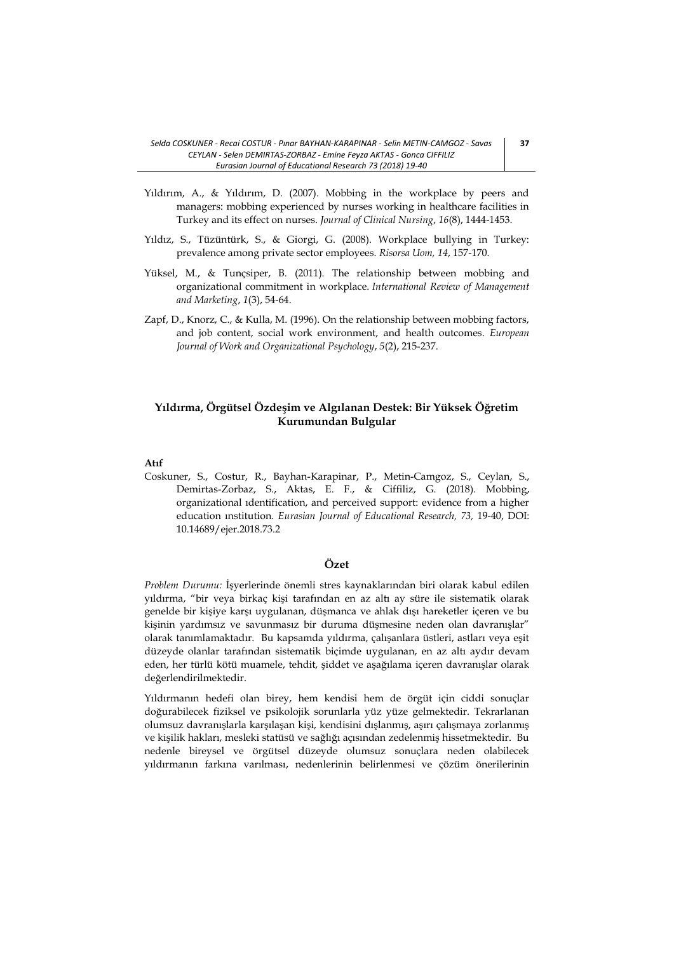- Yıldırım, A., & Yıldırım, D. (2007). Mobbing in the workplace by peers and managers: mobbing experienced by nurses working in healthcare facilities in Turkey and its effect on nurses. *Journal of Clinical Nursing*, *16*(8), 1444-1453.
- Yıldız, S., Tüzüntürk, S., & Giorgi, G. (2008). Workplace bullying in Turkey: prevalence among private sector employees. *Risorsa Uom, 14*, 157-170.
- Yüksel, M., & Tunçsiper, B. (2011). The relationship between mobbing and organizational commitment in workplace. *International Review of Management and Marketing*, *1*(3), 54-64.
- Zapf, D., Knorz, C., & Kulla, M. (1996). On the relationship between mobbing factors, and job content, social work environment, and health outcomes. *European Journal of Work and Organizational Psychology*, *5*(2), 215-237.

# **Yıldırma, Örgütsel Özdeşim ve Algılanan Destek: Bir Yüksek Öğretim Kurumundan Bulgular**

#### **Atıf**

Coskuner, S., Costur, R., Bayhan-Karapinar, P., Metin-Camgoz, S., Ceylan, S., Demirtas-Zorbaz, S., Aktas, E. F., & Ciffiliz, G. (2018). Mobbing, organizational ıdentification, and perceived support: evidence from a higher education ınstitution. *Eurasian Journal of Educational Research, 73,* 19-40, DOI: 10.14689/ejer.2018.73.2

# **Özet**

*Problem Durumu:* İşyerlerinde önemli stres kaynaklarından biri olarak kabul edilen yıldırma, "bir veya birkaç kişi tarafından en az altı ay süre ile sistematik olarak genelde bir kişiye karşı uygulanan, düşmanca ve ahlak dışı hareketler içeren ve bu kişinin yardımsız ve savunmasız bir duruma düşmesine neden olan davranışlar" olarak tanımlamaktadır. Bu kapsamda yıldırma, çalışanlara üstleri, astları veya eşit düzeyde olanlar tarafından sistematik biçimde uygulanan, en az altı aydır devam eden, her türlü kötü muamele, tehdit, şiddet ve aşağılama içeren davranışlar olarak değerlendirilmektedir.

Yıldırmanın hedefi olan birey, hem kendisi hem de örgüt için ciddi sonuçlar doğurabilecek fiziksel ve psikolojik sorunlarla yüz yüze gelmektedir. Tekrarlanan olumsuz davranışlarla karşılaşan kişi, kendisini dışlanmış, aşırı çalışmaya zorlanmış ve kişilik hakları, mesleki statüsü ve sağlığı açısından zedelenmiş hissetmektedir. Bu nedenle bireysel ve örgütsel düzeyde olumsuz sonuçlara neden olabilecek yıldırmanın farkına varılması, nedenlerinin belirlenmesi ve çözüm önerilerinin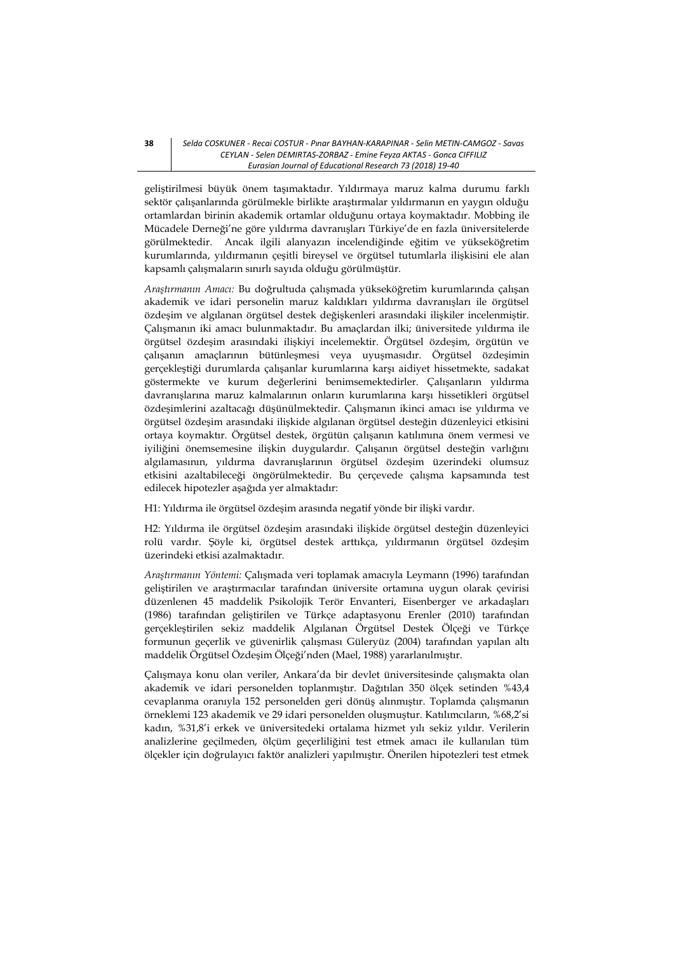geliştirilmesi büyük önem taşımaktadır. Yıldırmaya maruz kalma durumu farklı sektör çalışanlarında görülmekle birlikte araştırmalar yıldırmanın en yaygın olduğu ortamlardan birinin akademik ortamlar olduğunu ortaya koymaktadır. Mobbing ile Mücadele Derneği'ne göre yıldırma davranışları Türkiye'de en fazla üniversitelerde görülmektedir. Ancak ilgili alanyazın incelendiğinde eğitim ve yükseköğretim kurumlarında, yıldırmanın çeşitli bireysel ve örgütsel tutumlarla ilişkisini ele alan kapsamlı çalışmaların sınırlı sayıda olduğu görülmüştür.

*Araştırmanın Amacı:* Bu doğrultuda çalışmada yükseköğretim kurumlarında çalışan akademik ve idari personelin maruz kaldıkları yıldırma davranışları ile örgütsel özdeşim ve algılanan örgütsel destek değişkenleri arasındaki ilişkiler incelenmiştir. Çalışmanın iki amacı bulunmaktadır. Bu amaçlardan ilki; üniversitede yıldırma ile örgütsel özdeşim arasındaki ilişkiyi incelemektir. Örgütsel özdeşim, örgütün ve çalışanın amaçlarının bütünleşmesi veya uyuşmasıdır. Örgütsel özdeşimin gerçekleştiği durumlarda çalışanlar kurumlarına karşı aidiyet hissetmekte, sadakat göstermekte ve kurum değerlerini benimsemektedirler. Çalışanların yıldırma davranışlarına maruz kalmalarının onların kurumlarına karşı hissetikleri örgütsel özdeşimlerini azaltacağı düşünülmektedir. Çalışmanın ikinci amacı ise yıldırma ve örgütsel özdeşim arasındaki ilişkide algılanan örgütsel desteğin düzenleyici etkisini ortaya koymaktır. Örgütsel destek, örgütün çalışanın katılımına önem vermesi ve iyiliğini önemsemesine ilişkin duygulardır. Çalışanın örgütsel desteğin varlığını algılamasının, yıldırma davranışlarının örgütsel özdeşim üzerindeki olumsuz etkisini azaltabileceği öngörülmektedir. Bu çerçevede çalışma kapsamında test edilecek hipotezler aşağıda yer almaktadır:

H1: Yıldırma ile örgütsel özdeşim arasında negatif yönde bir ilişki vardır.

H2: Yıldırma ile örgütsel özdeşim arasındaki ilişkide örgütsel desteğin düzenleyici rolü vardır. Şöyle ki, örgütsel destek arttıkça, yıldırmanın örgütsel özdeşim üzerindeki etkisi azalmaktadır.

*Araştırmanın Yöntemi:* Çalışmada veri toplamak amacıyla Leymann (1996) tarafından geliştirilen ve araştırmacılar tarafından üniversite ortamına uygun olarak çevirisi düzenlenen 45 maddelik Psikolojik Terör Envanteri, Eisenberger ve arkadaşları (1986) tarafından geliştirilen ve Türkçe adaptasyonu Erenler (2010) tarafından gerçekleştirilen sekiz maddelik Algılanan Örgütsel Destek Ölçeği ve Türkçe formunun geçerlik ve güvenirlik çalışması Güleryüz (2004) tarafından yapılan altı maddelik Örgütsel Özdeşim Ölçeği'nden (Mael, 1988) yararlanılmıştır.

Çalışmaya konu olan veriler, Ankara'da bir devlet üniversitesinde çalışmakta olan akademik ve idari personelden toplanmıştır. Dağıtılan 350 ölçek setinden %43,4 cevaplanma oranıyla 152 personelden geri dönüş alınmıştır. Toplamda çalışmanın örneklemi 123 akademik ve 29 idari personelden oluşmuştur. Katılımcıların, %68,2'si kadın, %31,8'i erkek ve üniversitedeki ortalama hizmet yılı sekiz yıldır. Verilerin analizlerine geçilmeden, ölçüm geçerliliğini test etmek amacı ile kullanılan tüm ölçekler için doğrulayıcı faktör analizleri yapılmıştır. Önerilen hipotezleri test etmek